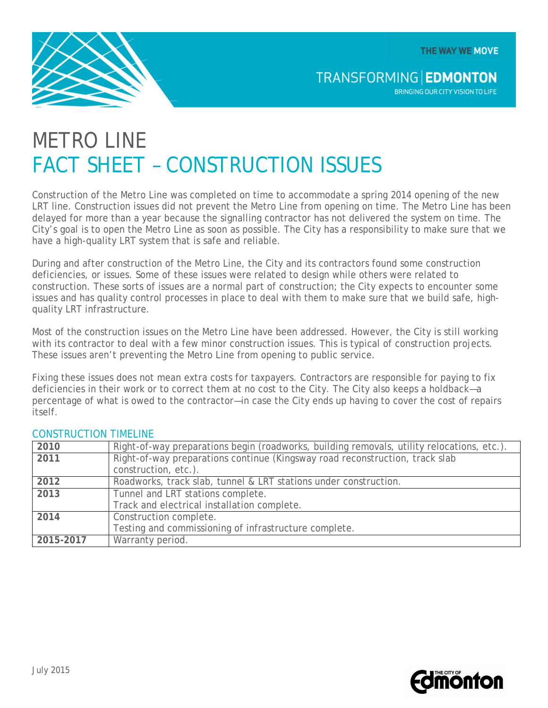THE WAY WE MOVE



**TRANSFORMING EDMONTON** BRINGING OUR CITY VISION TO LIFE

# METRO I INF FACT SHEET – CONSTRUCTION ISSUES

Construction of the Metro Line was completed on time to accommodate a spring 2014 opening of the new LRT line. Construction issues did not prevent the Metro Line from opening on time. The Metro Line has been delayed for more than a year because the signalling contractor has not delivered the system on time. The City's goal is to open the Metro Line as soon as possible. The City has a responsibility to make sure that we have a high-quality LRT system that is safe and reliable.

During and after construction of the Metro Line, the City and its contractors found some construction deficiencies, or issues. Some of these issues were related to design while others were related to construction. These sorts of issues are a normal part of construction; the City expects to encounter some issues and has quality control processes in place to deal with them to make sure that we build safe, highquality LRT infrastructure.

Most of the construction issues on the Metro Line have been addressed. However, the City is still working with its contractor to deal with a few minor construction issues. This is typical of construction projects. These issues aren't preventing the Metro Line from opening to public service.

Fixing these issues does not mean extra costs for taxpayers. Contractors are responsible for paying to fix deficiencies in their work or to correct them at no cost to the City. The City also keeps a holdback—a percentage of what is owed to the contractor—in case the City ends up having to cover the cost of repairs itself.

| 2010      | Right-of-way preparations begin (roadworks, building removals, utility relocations, etc.). |
|-----------|--------------------------------------------------------------------------------------------|
| 2011      | Right-of-way preparations continue (Kingsway road reconstruction, track slab               |
|           | construction, etc.).                                                                       |
| 2012      | Roadworks, track slab, tunnel & LRT stations under construction.                           |
| 2013      | Tunnel and LRT stations complete.                                                          |
|           | Track and electrical installation complete.                                                |
| 2014      | Construction complete.                                                                     |
|           | Testing and commissioning of infrastructure complete.                                      |
| 2015-2017 | Warranty period.                                                                           |

# CONSTRUCTION TIMELINE